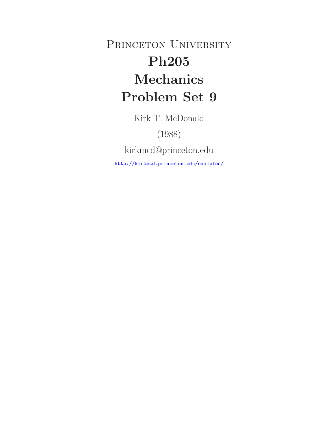PRINCETON UNIVERSITY **Ph205 Mechanics Problem Set 9**

Kirk T. McDonald

(1988)

kirkmcd@princeton.edu

http://kirkmcd.princeton.edu/examples/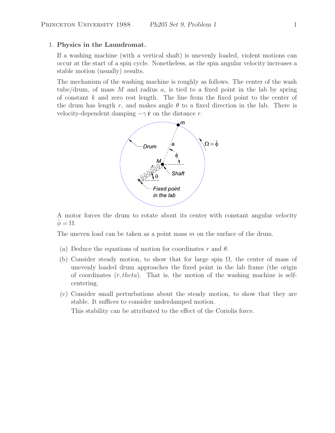### 1. **Physics in the Laundromat.**

If a washing machine (with a vertical shaft) is unevenly loaded, violent motions can occur at the start of a spin cycle. Nonetheless, as the spin angular velocity increases a stable motion (usually) results.

The mechanism of the washing machine is roughly as follows. The center of the wash tube/drum, of mass M and radius  $a$ , is tied to a fixed point in the lab by spring of constant  $k$  and zero rest length. The line from the fixed point to the center of the drum has length r, and makes angle  $\theta$  to a fixed direction in the lab. There is velocity-dependent damping  $-\gamma \dot{\mathbf{r}}$  on the distance r.



A motor forces the drum to rotate about its center with constant angular velocity  $\phi = \Omega$ .

The uneven load can be taken as a point mass  $m$  on the surface of the drum.

- (a) Deduce the equations of motion for coordinates r and  $\theta$ .
- (b) Consider steady motion, to show that for large spin  $\Omega$ , the center of mass of unevenly loaded drum approaches the fixed point in the lab frame (the origin of coordinates  $(r, theta)$ . That is, the motion of the washing machine is selfcentering.
- (c) Consider small perturbations about the steady motion, to show that they are stable. It suffices to consider underdamped motion. This stability can be attributed to the effect of the Coriolis force.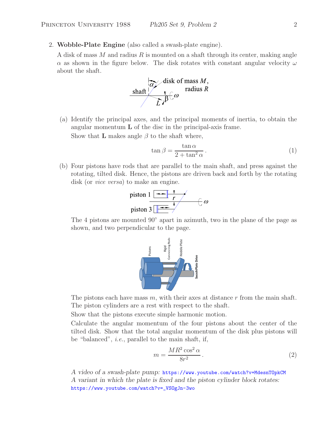2. **Wobble-Plate Engine** (also called a swash-plate engine).

A disk of mass M and radius R is mounted on a shaft through its center, making angle  $\alpha$  as shown in the figure below. The disk rotates with constant angular velocity  $\omega$ about the shaft.



(a) Identify the principal axes, and the principal moments of inertia, to obtain the angular momentum **L** of the disc in the principal-axis frame. Show that **L** makes angle  $\beta$  to the shaft where,

$$
\tan \beta = \frac{\tan \alpha}{2 + \tan^2 \alpha} \,. \tag{1}
$$

(b) Four pistons have rods that are parallel to the main shaft, and press against the rotating, tilted disk. Hence, the pistons are driven back and forth by the rotating disk (or *vice versa*) to make an engine.



The 4 pistons are mounted 90◦ apart in azimuth, two in the plane of the page as shown, and two perpendicular to the page.



The pistons each have mass  $m$ , with their axes at distance  $r$  from the main shaft. The piston cylinders are a rest with respect to the shaft.

Show that the pistons execute simple harmonic motion.

Calculate the angular momentum of the four pistons about the center of the tilted disk. Show that the total angular momentum of the disk plus pistons will be "balanced", *i.e.*, parallel to the main shaft, if,

$$
m = \frac{MR^2 \cos^2 \alpha}{8r^2}.
$$
\n<sup>(2)</sup>

*A video of a swash-plate pump:* https://www.youtube.com/watch?v=MdesnTOpkCM *A variant in which the plate is fixed and the piston cylinder block rotates:* https://www.youtube.com/watch?v=\_VSOgJn-3wo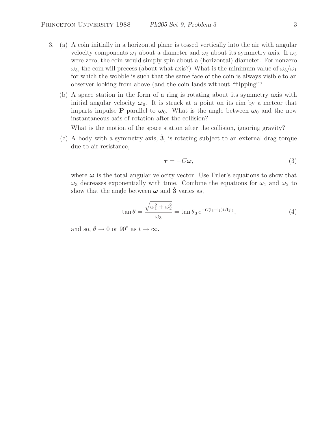- 3. (a) A coin initially in a horizontal plane is tossed vertically into the air with angular velocity components  $\omega_1$  about a diameter and  $\omega_3$  about its symmetry axis. If  $\omega_3$ were zero, the coin would simply spin about a (horizontal) diameter. For nonzero  $\omega_3$ , the coin will precess (about what axis?) What is the minimum value of  $\omega_3/\omega_1$ for which the wobble is such that the same face of the coin is always visible to an observer looking from above (and the coin lands without "flipping"?
	- (b) A space station in the form of a ring is rotating about its symmetry axis with initial angular velocity  $\omega_0$ . It is struck at a point on its rim by a meteor that imparts impulse **P** parallel to  $\omega_0$ . What is the angle between  $\omega_0$  and the new instantaneous axis of rotation after the collision?

What is the motion of the space station after the collision, ignoring gravity?

(c) A body with a symmetry axis,  $\hat{\mathbf{3}}$ , is rotating subject to an external drag torque due to air resistance,

$$
\tau = -C\omega,\tag{3}
$$

where  $\omega$  is the total angular velocity vector. Use Euler's equations to show that  $\omega_3$  decreases exponentially with time. Combine the equations for  $\omega_1$  and  $\omega_2$  to show that the angle between  $\omega$  and **3**<sup> $\alpha$ </sup> varies as,

$$
\tan \theta = \frac{\sqrt{\omega_1^2 + \omega_2^2}}{\omega_3} = \tan \theta_0 e^{-C(\lg - \lg l_1)t/\lg l_3},\tag{4}
$$

and so,  $\theta \to 0$  or  $90^{\circ}$  as  $t \to \infty$ .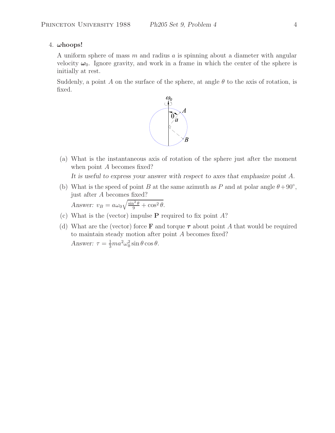# 4. *ω***hoops!**

A uniform sphere of mass  $m$  and radius  $a$  is spinning about a diameter with angular velocity  $\omega_0$ . Ignore gravity, and work in a frame in which the center of the sphere is initially at rest.

Suddenly, a point A on the surface of the sphere, at angle  $\theta$  to the axis of rotation, is fixed.



(a) What is the instantaneous axis of rotation of the sphere just after the moment when point A becomes fixed?

*It is useful to express your answer with respect to axes that emphasize point* A*.*

(b) What is the speed of point B at the same azimuth as P and at polar angle  $\theta + 90°$ , just after A becomes fixed?

*Answer:*  $v_B = a\omega_0 \sqrt{\frac{\sin^2 \theta}{9} + \cos^2 \theta}$ .

- (c) What is the (vector) impulse **P** required to fix point A?
- (d) What are the (vector) force **F** and torque  $\tau$  about point A that would be required to maintain steady motion after point A becomes fixed? *Answer:*  $\tau = \frac{1}{3} m a^2 \omega_0^2 \sin \theta \cos \theta$ .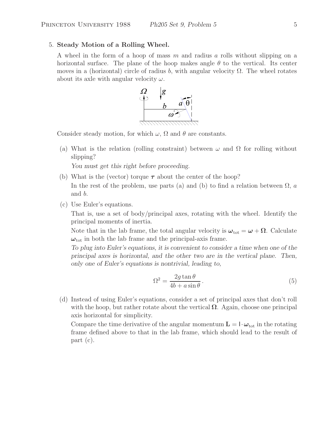### 5. **Steady Motion of a Rolling Wheel.**

A wheel in the form of a hoop of mass m and radius a rolls without slipping on a horizontal surface. The plane of the hoop makes angle  $\theta$  to the vertical. Its center moves in a (horizontal) circle of radius b, with angular velocity  $\Omega$ . The wheel rotates about its axle with angular velocity  $\omega$ .



Consider steady motion, for which  $\omega$ ,  $\Omega$  and  $\theta$  are constants.

(a) What is the relation (rolling constraint) between  $\omega$  and  $\Omega$  for rolling without slipping?

*You must get this right before proceeding.*

- (b) What is the (vector) torque  $\tau$  about the center of the hoop? In the rest of the problem, use parts (a) and (b) to find a relation between  $\Omega$ , a and b.
- (c) Use Euler's equations.

That is, use a set of body/principal axes, rotating with the wheel. Identify the principal moments of inertia.

Note that in the lab frame, the total angular velocity is  $\omega_{\text{tot}} = \omega + \Omega$ . Calculate  $\omega_{\text{tot}}$  in both the lab frame and the principal-axis frame.

*To plug into Euler's equations, it is convenient to consider a time when one of the principal axes is horizontal, and the other two are in the vertical plane. Then, only one of Euler's equations is nontrivial, leading to,*

$$
\Omega^2 = \frac{2g \tan \theta}{4b + a \sin \theta}.
$$
\n(5)

(d) Instead of using Euler's equations, consider a set of principal axes that don't roll with the hoop, but rather rotate about the vertical  $\Omega$ . Again, choose one principal axis horizontal for simplicity.

Compare the time derivative of the angular momentum  $\mathbf{L} = \mathbf{I} \cdot \boldsymbol{\omega}_{\text{tot}}$  in the rotating frame defined above to that in the lab frame, which should lead to the result of part (c).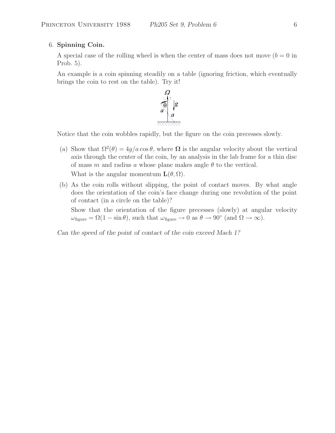## 6. **Spinning Coin.**

A special case of the rolling wheel is when the center of mass does not move  $(b = 0$  in Prob. 5).

An example is a coin spinning steadily on a table (ignoring friction, which eventually brings the coin to rest on the table). Try it!



Notice that the coin wobbles rapidly, but the figure on the coin precesses slowly.

(a) Show that  $\Omega^2(\theta)=4g/a \cos \theta$ , where  $\Omega$  is the angular velocity about the vertical axis through the center of the coin, by an analysis in the lab frame for a thin disc of mass m and radius a whose plane makes angle  $\theta$  to the vertical.

What is the angular momentum  $\mathbf{L}(\theta, \Omega)$ .

(b) As the coin rolls without slipping, the point of contact moves. By what angle does the orientation of the coin's face change during one revolution of the point of contact (in a circle on the table)?

Show that the orientation of the figure precesses (slowly) at angular velocity  $\omega_{\text{figure}} = \Omega(1 - \sin \theta)$ , such that  $\omega_{\text{figure}} \to 0$  as  $\theta \to 90^{\circ}$  (and  $\Omega \to \infty$ ).

*Can the speed of the point of contact of the coin exceed Mach 1?*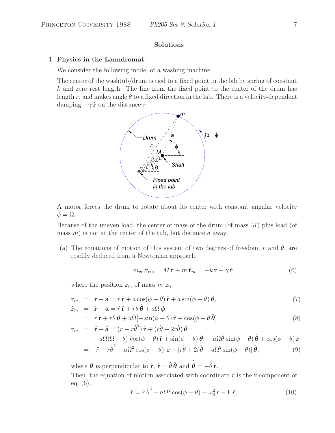## **Solutions**

#### 1. **Physics in the Laundromat.**

We consider the following model of a washing machine.

The center of the washtub/drum is tied to a fixed point in the lab by spring of constant  $k$  and zero rest length. The line from the fixed point to the center of the drum has length r, and makes angle  $\theta$  to a fixed direction in the lab. There is a velocity-dependent damping  $-\gamma \dot{\mathbf{r}}$  on the distance r.



A motor forces the drum to rotate about its center with constant angular velocity  $\phi = \Omega$ .

Because of the uneven load, the center of mass of the drum (of mass  $M$ ) plus load (of mass  $m$ ) is not at the center of the tub, but distance a away.

(a) The equations of motion of this system of two degrees of freedom, r and  $\theta$ , are readily deduced from a Newtonian approach,

$$
m_{\rm cm}\ddot{\mathbf{r}}_{\rm cm} = M\ddot{\mathbf{r}} + m\ddot{\mathbf{r}}_m = -k\,\mathbf{r} - \gamma\,\dot{\mathbf{r}},\tag{6}
$$

where the position  $\mathbf{r}_m$  of mass m is,

$$
\mathbf{r}_m = \mathbf{r} + \mathbf{a} = r\,\hat{\mathbf{r}} + a\cos(\phi - \theta)\,\hat{\mathbf{r}} + a\sin(\phi - \theta)\,\hat{\boldsymbol{\theta}},
$$
  
\n
$$
\dot{\mathbf{r}}_m = \dot{\mathbf{r}} + \dot{\mathbf{a}} = \dot{r}\,\hat{\mathbf{r}} + r\dot{\theta}\,\hat{\boldsymbol{\theta}} + a\Omega\,\hat{\boldsymbol{\phi}}
$$
\n(7)

$$
= \dot{r}\,\hat{\mathbf{r}} + r\dot{\theta}\,\hat{\boldsymbol{\theta}} + a\Omega[-\sin(\phi - \theta)\,\hat{\mathbf{r}} + \cos(\phi - \theta\,\hat{\boldsymbol{\theta}})] \tag{8}
$$

 $\ddot{\mathbf{r}}_m$  =  $\ddot{\mathbf{r}} + \ddot{\mathbf{a}} = (\ddot{r} - r\dot{\theta}^2) \hat{\mathbf{r}} + (r\ddot{\theta} + 2\dot{r}\dot{\theta}) \hat{\boldsymbol{\theta}}$  $-a\Omega(\Omega - \dot{\theta})\left[\cos(\phi - \theta)\hat{\mathbf{r}} + \sin(\phi - \theta)\hat{\boldsymbol{\theta}}\right] - a\Omega\dot{\theta}[\sin(\phi - \theta)\hat{\boldsymbol{\theta}} + \cos(\phi - \theta)\hat{\mathbf{r}}]$  $= \left[ \ddot{r} - r \dot{\theta}^2 - a \Omega^2 \cos(\phi - \theta) \right] \hat{\mathbf{r}} + \left[ r \ddot{\theta} + 2 \dot{r} \dot{\theta} - a \Omega^2 \sin(\phi - \theta) \right] \hat{\boldsymbol{\theta}},$  (9)

where  $\hat{\theta}$  is perpendicular to  $\hat{\mathbf{r}}$ ,  $\dot{\hat{\mathbf{r}}} = \dot{\theta} \hat{\theta}$  and  $\dot{\hat{\theta}} = -\dot{\theta} \hat{\mathbf{r}}$ . Then, the equation of motion associated with coordinate r is the  $\hat{\bf{r}}$  component of eq. (6),

$$
\ddot{r} = r\dot{\theta}^2 + b\Omega^2\cos(\phi - \theta) - \omega_0^2 r - \Gamma \dot{r},\qquad(10)
$$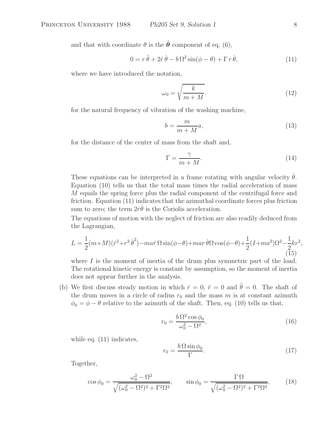and that with coordinate  $\theta$  is the  $\hat{\theta}$  component of eq. (6),

$$
0 = r\ddot{\theta} + 2\dot{r}\dot{\theta} - b\Omega^2 \sin(\phi - \theta) + \Gamma r \dot{\theta}, \qquad (11)
$$

where we have introduced the notation,

$$
\omega_0 = \sqrt{\frac{k}{m+M}}.\tag{12}
$$

for the natural frequency of vibration of the washing machine,

$$
b = \frac{m}{m+M}a,\tag{13}
$$

for the distance of the center of mass from the shaft and,

$$
\Gamma = \frac{\gamma}{m + M}.\tag{14}
$$

These equations can be interpreted in a frame rotating with angular velocity  $\dot{\theta}$ . Equation (10) tells us that the total mass times the radial acceleration of mass M equals the spring force plus the radial component of the centrifugal force and friction. Equation (11) indicates that the azimuthal coordinate forces plus friction sum to zero; the term  $2\dot{r}\dot{\theta}$  is the Coriolis acceleration.

The equations of motion with the neglect of friction are also readily deduced from the Lagrangian,

$$
L = \frac{1}{2}(m+M)(\dot{r}^2+r^2\dot{\theta}^2) - \dot{m}a\dot{r}\Omega\sin(\phi-\theta) + \dot{m}a\dot{r}\dot{\theta}\Omega\cos(\phi-\theta) + \frac{1}{2}(I+\dot{m}a^2)\Omega^2 - \frac{1}{2}kr^2,
$$
\n(15)

where  $I$  is the moment of inertia of the drum plus symmetric part of the load. The rotational kinetic energy is constant by assumption, so the moment of inertia does not appear further in the analysis.

(b) We first discuss steady motion in which  $\dot{r} = 0$ ,  $\ddot{r} = 0$  and  $\ddot{\theta} = 0$ . The shaft of the drum moves in a circle of radius  $r_0$  and the mass m is at constant azimuth  $\phi_0 = \phi - \theta$  relative to the azimuth of the shaft. Then, eq. (10) tells us that,

$$
r_0 = \frac{b\,\Omega^2\cos\phi_0}{\omega_0^2 - \Omega^2},\tag{16}
$$

while eq.  $(11)$  indicates,

$$
r_0 = \frac{b\,\Omega\sin\phi_0}{\Gamma}.\tag{17}
$$

Together,

$$
\cos \phi_0 = \frac{\omega_0^2 - \Omega^2}{\sqrt{(\omega_0^2 - \Omega^2)^2 + \Gamma^2 \Omega^2}}, \qquad \sin \phi_0 = \frac{\Gamma \Omega}{\sqrt{(\omega_0^2 - \Omega^2)^2 + \Gamma^2 \Omega^2}}, \tag{18}
$$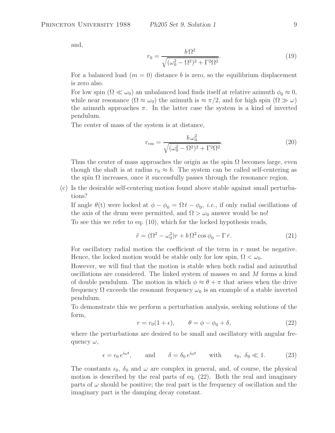and,

$$
r_0 = \frac{b\,\Omega^2}{\sqrt{(\omega_0^2 - \Omega^2)^2 + \Gamma^2 \Omega^2}}.\tag{19}
$$

For a balanced load  $(m = 0)$  distance b is zero, so the equilibrium displacement is zero also.

For low spin ( $\Omega \ll \omega_0$ ) an unbalanced load finds itself at relative azimuth  $\phi_0 \approx 0$ , while near resonance  $(\Omega \approx \omega_0)$  the azimuth is  $\approx \pi/2$ , and for high spin  $(\Omega \gg \omega)$ the azimuth approaches  $\pi$ . In the latter case the system is a kind of inverted pendulum.

The center of mass of the system is at distance,

$$
r_{\rm cm} = \frac{b\,\omega_0^2}{\sqrt{(\omega_0^2 - \Omega^2)^2 + \Gamma^2 \Omega^2}}.\tag{20}
$$

Thus the center of mass approaches the origin as the spin  $\Omega$  becomes large, even though the shaft is at radius  $r_0 \approx b$ . The system can be called self-centering as the spin  $\Omega$  increases, once it successfully passes through the resonance region.

(c) Is the desirable self-centering motion found above stable against small perturbations?

If angle  $\theta(t)$  were locked at  $\phi - \phi_0 = \Omega t - \phi_0$ , *i.e.*, if only radial oscillations of the axis of the drum were permitted, and  $\Omega > \omega_0$  answer would be no!

To see this we refer to eq. (10), which for the locked hypothesis reads,

$$
\ddot{r} = (\Omega^2 - \omega_0^2)r + b\,\Omega^2\cos\phi_0 - \Gamma\,\dot{r}.\tag{21}
$$

For oscillatory radial motion the coefficient of the term in  $r$  must be negative. Hence, the locked motion would be stable only for low spin,  $\Omega < \omega_0$ .

However, we will find that the motion is stable when both radial and azimuthal oscillations are considered. The linked system of masses  $m$  and  $M$  forms a kind of double pendulum. The motion in which  $\phi \approx \theta + \pi$  that arises when the drive frequency  $\Omega$  exceeds the resonant frequency  $\omega_0$  is an example of a stable inverted pendulum.

To demonstrate this we perform a perturbation analysis, seeking solutions of the form,

$$
r = r_0(1 + \epsilon), \qquad \theta = \phi - \phi_0 + \delta,
$$
\n(22)

where the perturbations are desired to be small and oscillatory with angular frequency  $\omega$ ,

$$
\epsilon = \epsilon_0 e^{i\omega t}
$$
, and  $\delta = \delta_0 e^{i\omega t}$  with  $\epsilon_0, \delta_0 \ll 1$ . (23)

The constants  $\epsilon_0$ ,  $\delta_0$  and  $\omega$  are complex in general, and, of course, the physical motion is described by the real parts of eq. (22). Both the real and imaginary parts of  $\omega$  should be positive; the real part is the frequency of oscillation and the imaginary part is the damping decay constant.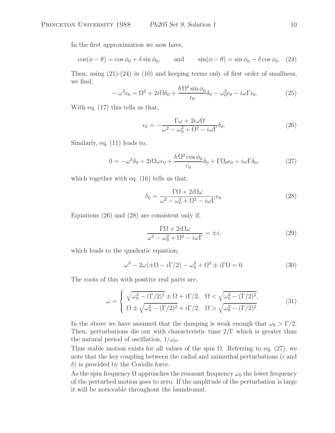In the first approximation we now have,

$$
\cos(\phi - \theta) = \cos\phi_0 + \delta\sin\phi_0, \quad \text{and} \quad \sin(\phi - \theta) = \sin\phi_0 - \delta\cos\phi_0. \tag{24}
$$

Then, using  $(21)-(24)$  in  $(10)$  and keeping terms only of first order of smallness, we find,

$$
-\omega^2 \epsilon_0 = \Omega^2 + 2i\Omega \delta_0 + \frac{b\Omega^2 \sin \phi_0}{r_0} \delta_0 - \omega_0^2 \epsilon_0 - i\omega \Gamma \epsilon_0.
$$
 (25)

With eq. (17) this tells us that,

$$
\epsilon_0 = -\frac{\Gamma \omega + 2i\omega \Omega}{\omega^2 - \omega_0^2 + \Omega^2 - i\omega \Gamma} \delta_0.
$$
 (26)

Similarly, eq. (11) leads to,

$$
0 = -\omega^2 \delta_0 + 2i\Omega\omega\epsilon_0 + \frac{b\,\Omega^2\cos\phi_0}{r_0}\delta_0 + \Gamma\Omega_0\epsilon_0 + i\omega\Gamma\delta_0,\tag{27}
$$

which together with eq.  $(16)$  tells us that,

$$
\delta_0 = \frac{\Gamma \Omega + 2i\Omega \omega}{\omega^2 - \omega_0^2 + \Omega^2 - i\omega \Gamma} \epsilon_0.
$$
\n(28)

Equations (26) and (28) are consistent only if,

$$
\frac{\Gamma \Omega + 2i\Omega \omega}{\omega^2 - \omega_0^2 + \Omega^2 - i\omega \Gamma} = \pm i,
$$
\n(29)

which leads to the quadratic equation,

$$
\omega^2 - 2\omega(\pm\Omega - i\Gamma/2) - \omega_0^2 + \Omega^2 \pm i\Gamma\Omega = 0.
$$
 (30)

The roots of this with positive real parts are,

$$
\omega = \begin{cases} \sqrt{\omega_0^2 - (\Gamma/2)^2} \pm \Omega + i\Gamma/2, & \Omega < \sqrt{\omega_0^2 - (\Gamma/2)^2}, \\ \Omega \pm \sqrt{\omega_0^2 - (\Gamma/2)^2} + i\Gamma/2, & \Omega > \sqrt{\omega_0^2 - (\Gamma/2)^2}. \end{cases}
$$
(31)

In the above we have assumed that the damping is weak enough that  $\omega_0 > \Gamma/2$ . Then, perturbations die out with characteristic time 2/Γ which is greater than the natural period of oscillation,  $1/\omega_0$ .

Thus stable motion exists for all values of the spin  $\Omega$ . Referring to eq. (27), we note that the key coupling between the radial and azimuthal perturbations ( $\epsilon$  and  $\delta$ ) is provided by the Coriolis force.

As the spin frequency  $\Omega$  approaches the resonant frequency  $\omega_0$  the lower frequency of the perturbed motion goes to zero. If the amplitude of the perturbation is large it will be noticeable throughout the laundromat.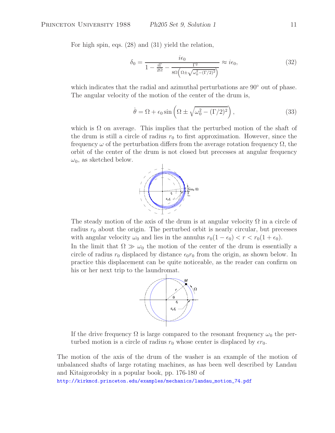For high spin, eqs. (28) and (31) yield the relation,

$$
\delta_0 = \frac{i\epsilon_0}{1 - \frac{i\Gamma}{2\Omega} - \frac{\Gamma^2}{8\Omega \left(\Omega \pm \sqrt{\omega_0^2 - (\Gamma/2)^2}\right)}} \approx i\epsilon_0,
$$
\n(32)

which indicates that the radial and azimuthal perturbations are 90<sup>°</sup> out of phase. The angular velocity of the motion of the center of the drum is,

$$
\dot{\theta} = \Omega + \epsilon_0 \sin \left( \Omega \pm \sqrt{\omega_0^2 - (\Gamma/2)^2} \right),\tag{33}
$$

which is  $\Omega$  on average. This implies that the perturbed motion of the shaft of the drum is still a circle of radius  $r_0$  to first approximation. However, since the frequency  $\omega$  of the perturbation differs from the average rotation frequency  $\Omega$ , the orbit of the center of the drum is not closed but precesses at angular frequency  $\omega_0$ , as sketched below.



The steady motion of the axis of the drum is at angular velocity  $\Omega$  in a circle of radius  $r_0$  about the origin. The perturbed orbit is nearly circular, but precesses with angular velocity  $\omega_0$  and lies in the annulus  $r_0(1 - \epsilon_0) < r < r_0(1 + \epsilon_0)$ .

In the limit that  $\Omega \gg \omega_0$  the motion of the center of the drum is essentially a circle of radius  $r_0$  displaced by distance  $\epsilon_0 r_0$  from the origin, as shown below. In practice this displacement can be quite noticeable, as the reader can confirm on his or her next trip to the laundromat.



If the drive frequency  $\Omega$  is large compared to the resonant frequency  $\omega_0$  the perturbed motion is a circle of radius  $r_0$  whose center is displaced by  $\epsilon r_0$ .

The motion of the axis of the drum of the washer is an example of the motion of unbalanced shafts of large rotating machines, as has been well described by Landau and Kitaigorodsky in a popular book, pp. 176-180 of

http://kirkmcd.princeton.edu/examples/mechanics/landau\_motion\_74.pdf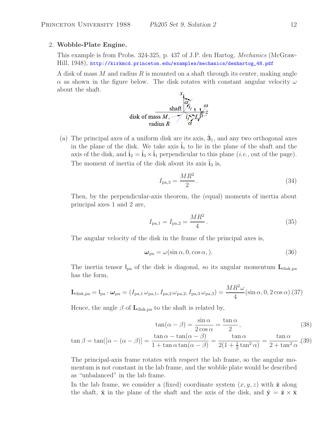#### 2. **Wobble-Plate Engine.**

This example is from Probs. 324-325, p. 437 of J.P. den Hartog, *Mechanics* (McGraw-Hill, 1948), http://kirkmcd.princeton.edu/examples/mechanics/denhartog\_48.pdf

A disk of mass M and radius R is mounted on a shaft through its center, making angle  $\alpha$  as shown in the figure below. The disk rotates with constant angular velocity  $\omega$ about the shaft.



(a) The principal axes of a uniform disk are its axis,  $\hat{\mathbf{3}}_1$ , and any two orthogonal axes in the plane of the disk. We take axis  $\mathbf{i}_1$  to lie in the plane of the shaft and the axis of the disk, and  $\hat{i}_2 = \hat{i}_3 \times \hat{i}_1$  perpendicular to this plane (*i.e.*, out of the page). The moment of inertia of the disk about its axis  $\mathbf{i}_3$  is,

$$
I_{\text{pa},3} = \frac{MR^2}{2} \,. \tag{34}
$$

Then, by the perpendicular-axis theorem, the (equal) moments of inertia about principal axes 1 and 2 are,

$$
I_{\text{pa},1} = I_{\text{pa},2} = \frac{MR^2}{4} \,. \tag{35}
$$

The angular velocity of the disk in the frame of the principal axes is,

$$
\omega_{\text{pa}} = \omega(\sin \alpha, 0, \cos \alpha, ). \tag{36}
$$

The inertia tensor Ipa of the disk is diagonal, so its angular momentum **L**disk,pa has the form,

$$
\mathbf{L}_{\text{disk,pa}} = I_{\text{pa}} \cdot \boldsymbol{\omega}_{\text{pa}} = (I_{\text{pa},1} \omega_{\text{pa},1}, I_{\text{pa},2} \omega_{\text{pa},2}, I_{\text{pa},3} \omega_{\text{pa},3}) = \frac{MR^2\omega}{4} (\sin\alpha, 0, 2\cos\alpha). (37)
$$

Hence, the angle  $\beta$  of  $\mathbf{L}_{disk,pa}$  to the shaft is related by,

$$
\tan(\alpha - \beta) = \frac{\sin \alpha}{2 \cos \alpha} = \frac{\tan \alpha}{2},\tag{38}
$$

$$
\tan \beta = \tan([\alpha - (\alpha - \beta)] = \frac{\tan \alpha - \tan(\alpha - \beta)}{1 + \tan \alpha \tan(\alpha - \beta)} = \frac{\tan \alpha}{2(1 + \frac{1}{2}\tan^2 \alpha)} = \frac{\tan \alpha}{2 + \tan^2 \alpha}.
$$
(39)

The principal-axis frame rotates with respect the lab frame, so the angular momentum is not constant in the lab frame, and the wobble plate would be described as "unbalanced" in the lab frame.

In the lab frame, we consider a (fixed) coordinate system  $(x, y, z)$  with  $\hat{z}$  along the shaft,  $\hat{\mathbf{x}}$  in the plane of the shaft and the axis of the disk, and  $\hat{\mathbf{y}} = \hat{\mathbf{z}} \times \hat{\mathbf{x}}$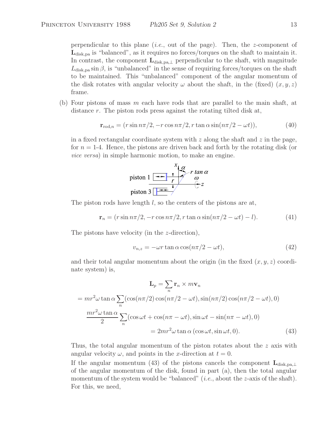perpendicular to this plane (*i.e.*, out of the page). Then, the z-component of L<sub>disk,pa</sub> is "balanced", as it requires no forces/torques on the shaft to maintain it. In contrast, the component  $\mathbf{L}_{\text{disk},p a, \perp}$  perpendicular to the shaft, with magnitude  $L_{disk,pa} \sin \beta$ , is "unbalanced" in the sense of requiring forces/torques on the shaft to be maintained. This "unbalanced" component of the angular momentum of the disk rotates with angular velocity  $\omega$  about the shaft, in the (fixed)  $(x, y, z)$ frame.

(b) Four pistons of mass  $m$  each have rods that are parallel to the main shaft, at distance r. The piston rods press against the rotating tilted disk at,

$$
\mathbf{r}_{\text{rod},n} = (r\sin n\pi/2, -r\cos n\pi/2, r\tan\alpha\sin(n\pi/2 - \omega t)),\tag{40}
$$

in a fixed rectangular coordinate system with  $z$  along the shaft and  $z$  in the page, for  $n = 1-4$ . Hence, the pistons are driven back and forth by the rotating disk (or *vice versa*) in simple harmonic motion, to make an engine.



The piston rods have length  $l$ , so the centers of the pistons are at,

$$
\mathbf{r}_n = (r\sin n\pi/2, -r\cos n\pi/2, r\tan\alpha\sin(n\pi/2 - \omega t) - l). \tag{41}
$$

The pistons have velocity (in the z-direction),

$$
v_{n,z} = -\omega r \tan \alpha \cos(n\pi/2 - \omega t), \qquad (42)
$$

and their total angular momentum about the origin (in the fixed  $(x, y, z)$  coordinate system) is,

$$
\mathbf{L}_p = \sum_n \mathbf{r}_n \times m\mathbf{v}_n
$$
  
=  $mr^2\omega \tan \alpha \sum_n (\cos(n\pi/2)\cos(n\pi/2 - \omega t), \sin(n\pi/2)\cos(n\pi/2 - \omega t), 0)$   

$$
\frac{mr^2\omega \tan \alpha}{2} \sum_n (\cos \omega t + \cos(n\pi - \omega t), \sin \omega t - \sin(n\pi - \omega t), 0)
$$
  
=  $2mr^2\omega \tan \alpha (\cos \omega t, \sin \omega t, 0).$  (43)

Thus, the total angular momentum of the piston rotates about the z axis with angular velocity  $\omega$ , and points in the x-direction at  $t = 0$ .

If the angular momentum (43) of the pistons cancels the component **L**disk,pa,<sup>⊥</sup> of the angular momentum of the disk, found in part (a), then the total angular momentum of the system would be "balanced" (*i.e.*, about the *z*-axis of the shaft). For this, we need,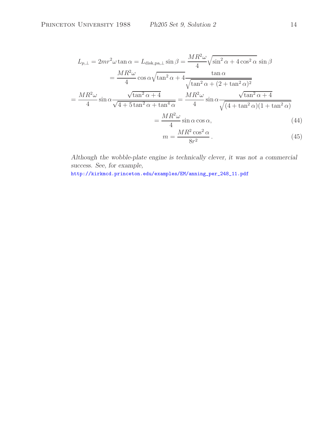$$
L_{p,\perp} = 2mr^2\omega \tan \alpha = L_{\text{disk},\text{pa},\perp} \sin \beta = \frac{MR^2\omega}{4} \sqrt{\sin^2 \alpha + 4 \cos^2 \alpha} \sin \beta
$$
  

$$
= \frac{MR^2\omega}{4} \cos \alpha \sqrt{\tan^2 \alpha + 4} \frac{\tan \alpha}{\sqrt{\tan^2 \alpha + (2 + \tan^2 \alpha)^2}}
$$
  

$$
= \frac{MR^2\omega}{4} \sin \alpha \frac{\sqrt{\tan^2 \alpha + 4}}{\sqrt{4 + 5 \tan^2 \alpha + \tan^4 \alpha}} = \frac{MR^2\omega}{4} \sin \alpha \frac{\sqrt{\tan^2 \alpha + 4}}{\sqrt{(4 + \tan^2 \alpha)(1 + \tan^2 \alpha)}}
$$
  

$$
= \frac{MR^2\omega}{4} \sin \alpha \cos \alpha,
$$
  

$$
m = \frac{MR^2 \cos^2 \alpha}{8r^2}.
$$
 (45)

*Although the wobble-plate engine is technically clever, it was not a commercial success. See, for example,*

http://kirkmcd.princeton.edu/examples/EM/anning\_per\_248\_11.pdf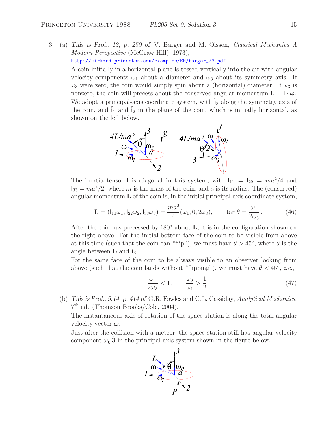3. (a) *This is Prob. 13, p. 259 of* V. Barger and M. Olsson, *Classical Mechanics A Modern Perspective* (McGraw-Hill), 1973),

http://kirkmcd.princeton.edu/examples/EM/barger\_73.pdf

A coin initially in a horizontal plane is tossed vertically into the air with angular velocity components  $\omega_1$  about a diameter and  $\omega_3$  about its symmetry axis. If  $\omega_3$  were zero, the coin would simply spin about a (horizontal) diameter. If  $\omega_3$  is nonzero, the coin will precess about the conserved angular momentum  $\mathbf{L} = \mathbf{I} \cdot \boldsymbol{\omega}$ . We adopt a principal-axis coordinate system, with  $\mathbf{i}_3$  along the symmetry axis of the coin, and  $\mathbf{i}_1$  and  $\mathbf{i}_2$  in the plane of the coin, which is initially horizontal, as shown on the left below.



The inertia tensor I is diagonal in this system, with  $I_{11} = I_{22} = ma^2/4$  and  $I_{33} = ma^2/2$ , where m is the mass of the coin, and a is its radius. The (conserved) angular momentum **L** of the coin is, in the initial principal-axis coordinate system,

$$
\mathbf{L} = (I_{11}\omega_1, I_{22}\omega_2, I_{33}\omega_3) = \frac{ma^2}{4}(\omega_1, 0, 2\omega_3), \qquad \tan \theta = \frac{\omega_1}{2\omega_3}.
$$
 (46)

After the coin has precessed by 180◦ about **L**, it is in the configuration shown on the right above. For the initial bottom face of the coin to be visible from above at this time (such that the coin can "flip"), we must have  $\theta > 45^{\circ}$ , where  $\theta$  is the angle between  $\bf{L}$  and  $\bf{i}_3$ .

For the same face of the coin to be always visible to an observer looking from above (such that the coin lands without "flipping"), we must have  $\theta < 45^{\circ}$ , *i.e.*,

$$
\frac{\omega_1}{2\omega_3} < 1, \qquad \frac{\omega_3}{\omega_1} > \frac{1}{2} \,. \tag{47}
$$

(b) *This is Prob. 9.14, p. 414 of* G.R. Fowles and G.L. Cassiday, *Analytical Mechanics*, 7th ed. (Thomson Brooks/Cole, 2004).

The instantaneous axis of rotation of the space station is along the total angular velocity vector *ω*.

Just after the collision with a meteor, the space station still has angular velocity component  $\omega_0 \hat{\mathbf{3}}$  in the principal-axis system shown in the figure below.

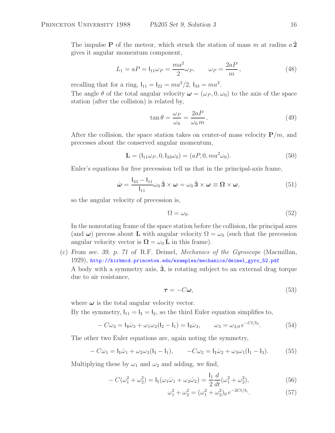The impulse **P** of the meteor, which struck the station of mass m at radius  $a\hat{2}$ gives it angular momentum component,

$$
L_1 = aP = I_{11}\omega_P = \frac{ma^2}{2}\omega_P, \qquad \omega_P = \frac{2aP}{m}, \qquad (48)
$$

recalling that for a ring,  $I_{11} = I_{22} = ma^2/2$ ,  $I_{33} = ma^2$ .

The angle  $\theta$  of the total angular velocity  $\boldsymbol{\omega} = (\omega_P, 0, \omega_0)$  to the axis of the space station (after the collision) is related by,

$$
\tan \theta = \frac{\omega_P}{\omega_0} = \frac{2aP}{\omega_0 m}.
$$
\n(49)

After the collision, the space station takes on center-of mass velocity  $P/m$ , and precesses about the conserved angular momentum,

$$
\mathbf{L} = (l_{11}\omega_P, 0, l_{33}\omega_0) = (aP, 0, ma^2\omega_0). \tag{50}
$$

Euler's equations for free precession tell us that in the principal-axis frame,

$$
\dot{\boldsymbol{\omega}} = \frac{\mathbf{I}_{33} - \mathbf{I}_{11}}{\mathbf{I}_{11}} \omega_0 \,\hat{\mathbf{3}} \times \boldsymbol{\omega} = \omega_0 \,\hat{\mathbf{3}} \times \boldsymbol{\omega} \equiv \boldsymbol{\Omega} \times \boldsymbol{\omega},\tag{51}
$$

so the angular velocity of precession is,

$$
\Omega = \omega_0. \tag{52}
$$

In the nonrotating frame of the space station before the collision, the principal axes (and  $\omega$ ) precess about **L** with angular velocity  $\Omega = \omega_0$  (such that the precession angular velocity vector is  $\Omega = \omega_0 \tilde{L}$  in this frame).

(c) *From sec. 39, p. 71 of* R.F. Deimel, *Mechanics of the Gyroscope* (Macmillan, 1929), http://kirkmcd.princeton.edu/examples/mechanics/deimel\_gyro\_52.pdf A body with a symmetry axis, **3**ˆ, is rotating subject to an external drag torque due to air resistance,

$$
\tau = -C\omega,\tag{53}
$$

where  $\omega$  is the total angular velocity vector.

By the symmetry,  $I_{11} = I_1 = I_2$ , so the third Euler equation simplifies to,

$$
-C\omega_3 = I_3\dot{\omega}_3 + \omega_1\omega_2(I_2 - I_1) = I_3\dot{\omega}_3, \qquad \omega_3 = \omega_{3,0}e^{-Ct/I_3}.
$$
 (54)

The other two Euler equations are, again noting the symmetry,

$$
-C\omega_1 = I_1\dot{\omega}_1 + \omega_2\omega_3(I_3 - I_1), \qquad -C\omega_2 = I_1\dot{\omega}_2 + \omega_3\omega_1(I_1 - I_3). \tag{55}
$$

Multiplying these by  $\omega_1$  and  $\omega_2$  and adding, we find,

$$
-C(\omega_1^2 + \omega_2^2) = I_1(\omega_1 \dot{\omega}_1 + \omega_2 \dot{\omega}_2) = \frac{I_1}{2} \frac{d}{dt}(\omega_1^2 + \omega_2^2),
$$
\n(56)

$$
\omega_1^2 + \omega_2^2 = (\omega_1^2 + \omega_2^2)_0 e^{-2Ct/l_1}.
$$
 (57)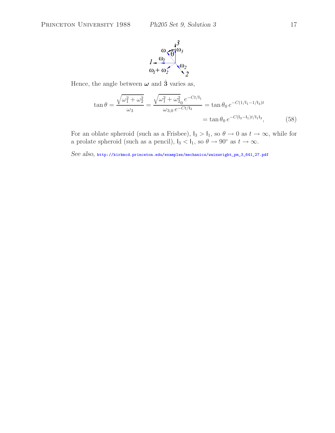

Hence, the angle between  $\omega$  and  $\hat{3}$  varies as,

$$
\tan \theta = \frac{\sqrt{\omega_1^2 + \omega_2^2}}{\omega_3} = \frac{\sqrt{\omega_1^2 + \omega_2^2} e^{-Ct/l_1}}{\omega_{3,0} e^{-Ct/l_3}} = \tan \theta_0 e^{-C(1/l_1 - 1/l_3)t}
$$

$$
= \tan \theta_0 e^{-C(l_3 - l_1)t/l_1 l_3}, \tag{58}
$$

For an oblate spheroid (such as a Frisbee),  $I_3 > I_1$ , so  $\theta \to 0$  as  $t \to \infty$ , while for a prolate spheroid (such as a pencil),  $I_3 < I_1$ , so  $\theta \to 90^\circ$  as  $t \to \infty$ .

*See also,* http://kirkmcd.princeton.edu/examples/mechanics/wainwright\_pm\_3\_641\_27.pdf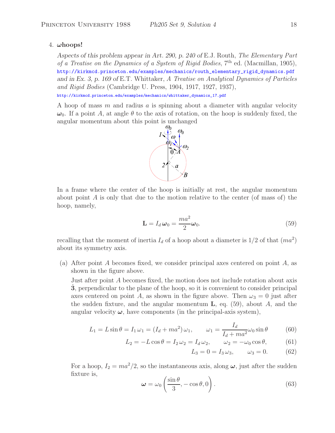### 4. *ω***hoops!**

*Aspects of this problem appear in Art. 290, p. 240 of* E.J. Routh, *The Elementary Part of a Treatise on the Dynamics of a System of Rigid Bodies*, 7th ed. (Macmillan, 1905), http://kirkmcd.princeton.edu/examples/mechanics/routh\_elementary\_rigid\_dynamics.pdf *and in Ex. 3, p. 169 of* E.T. Whittaker, *A Treatise on Analytical Dynamics of Particles and Rigid Bodies* (Cambridge U. Press, 1904, 1917, 1927, 1937),

http://kirkmcd.princeton.edu/examples/mechanics/whittaker\_dynamics\_17.pdf

A hoop of mass m and radius a is spinning about a diameter with angular velocity  $\omega_0$ . If a point A, at angle  $\theta$  to the axis of rotation, on the hoop is suddenly fixed, the angular momentum about this point is unchanged



In a frame where the center of the hoop is initially at rest, the angular momentum about point  $A$  is only that due to the motion relative to the center (of mass of) the hoop, namely,

$$
\mathbf{L} = I_d \boldsymbol{\omega}_0 = \frac{ma^2}{2} \boldsymbol{\omega}_0.
$$
 (59)

recalling that the moment of inertia  $I_d$  of a hoop about a diameter is  $1/2$  of that  $(ma^2)$ about its symmetry axis.

(a) After point A becomes fixed, we consider principal axes centered on point A, as shown in the figure above.

Just after point A becomes fixed, the motion does not include rotation about axis **3**, perpendicular to the plane of the hoop, so it is convenient to consider principal axes centered on point A, as shown in the figure above. Then  $\omega_3 = 0$  just after the sudden fixture, and the angular momentum  $\bf{L}$ , eq. (59), about A, and the angular velocity  $\omega$ , have components (in the principal-axis system),

$$
L_1 = L\sin\theta = I_1\omega_1 = (I_d + ma^2)\omega_1, \qquad \omega_1 = \frac{I_d}{I_d + ma^2}\omega_0\sin\theta \tag{60}
$$

$$
L_2 = -L\cos\theta = I_2\omega_2 = I_d\omega_2, \qquad \omega_2 = -\omega_0\cos\theta,\tag{61}
$$

$$
L_3 = 0 = I_3 \omega_3, \qquad \omega_3 = 0. \tag{62}
$$

For a hoop,  $I_2 = ma^2/2$ , so the instantaneous axis, along  $\omega$ , just after the sudden fixture is,

$$
\omega = \omega_0 \left( \frac{\sin \theta}{3}, -\cos \theta, 0 \right). \tag{63}
$$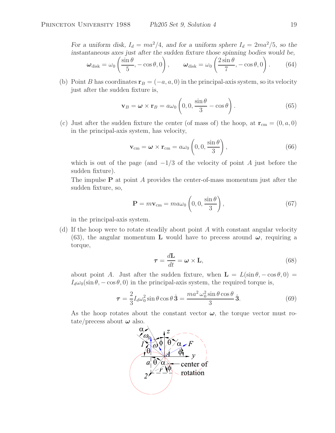For a uniform disk,  $I_d = ma^2/4$ , and for a uniform sphere  $I_d = 2ma^2/5$ , so the *instantaneous axes just after the sudden fixture those spinning bodies would be,*  $\boldsymbol{\omega}_\mathrm{disk} = \omega_0$  $\sin \theta$  $\frac{10}{5}$ , – cos  $\theta$ , 0  $\setminus$ ,  $\omega_{\rm disk} = \omega_0$  $\int 2\sin\theta$  $\frac{\text{m.s}}{7}$ , – cos  $\theta$ , 0  $\setminus$ . (64)

(b) Point *B* has coordinates 
$$
\mathbf{r}_B = (-a, a, 0)
$$
 in the principal-axis system, so its velocity just after the sudden future is,

$$
\mathbf{v}_B = \boldsymbol{\omega} \times \mathbf{r}_B = a\omega_0 \left( 0, 0, \frac{\sin \theta}{3} - \cos \theta \right). \tag{65}
$$

(c) Just after the sudden fixture the center (of mass of) the hoop, at  $\mathbf{r}_{cm} = (0, a, 0)$ in the principal-axis system, has velocity,

$$
\mathbf{v}_{\rm cm} = \boldsymbol{\omega} \times \mathbf{r}_{\rm cm} = a\omega_0 \left( 0, 0, \frac{\sin \theta}{3} \right), \tag{66}
$$

which is out of the page (and  $-1/3$  of the velocity of point A just before the sudden fixture).

The impulse **P** at point A provides the center-of-mass momentum just after the sudden fixture, so,

$$
\mathbf{P} = m\mathbf{v}_{\rm cm} = m a\omega_0 \left( 0, 0, \frac{\sin \theta}{3} \right),\tag{67}
$$

in the principal-axis system.

(d) If the hoop were to rotate steadily about point A with constant angular velocity (63), the angular momentum **L** would have to precess around  $\omega$ , requiring a torque,

$$
\tau = \frac{d\mathbf{L}}{dt} = \boldsymbol{\omega} \times \mathbf{L},\tag{68}
$$

about point A. Just after the sudden fixture, when  $\mathbf{L} = L(\sin \theta, -\cos \theta, 0) =$  $I_d\omega_0(\sin\theta, -\cos\theta, 0)$  in the principal-axis system, the required torque is,

$$
\tau = \frac{2}{3} I_d \omega_0^2 \sin \theta \cos \theta \hat{\mathbf{3}} = \frac{m a^2 \omega_0^2 \sin \theta \cos \theta}{3} \hat{\mathbf{3}}.
$$
 (69)

As the hoop rotates about the constant vector  $\omega$ , the torque vector must rotate/precess about  $\omega$  also.

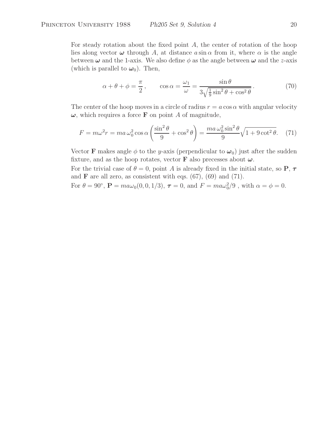For steady rotation about the fixed point A, the center of rotation of the hoop lies along vector  $\omega$  through A, at distance  $a \sin \alpha$  from it, where  $\alpha$  is the angle between  $\omega$  and the 1-axis. We also define  $\phi$  as the angle between  $\omega$  and the *z*-axis (which is parallel to  $\omega_0$ ). Then,

$$
\alpha + \theta + \phi = \frac{\pi}{2}, \qquad \cos \alpha = \frac{\omega_1}{\omega} = \frac{\sin \theta}{3\sqrt{\frac{1}{9}\sin^2 \theta + \cos^2 \theta}}.
$$
 (70)

The center of the hoop moves in a circle of radius  $r = a \cos \alpha$  with angular velocity  $\omega$ , which requires a force **F** on point A of magnitude,

$$
F = m\omega^2 r = ma\,\omega_0^2 \cos\alpha \left(\frac{\sin^2\theta}{9} + \cos^2\theta\right) = \frac{ma\,\omega_0^2 \sin^2\theta}{9} \sqrt{1 + 9\cot^2\theta}.\tag{71}
$$

Vector **F** makes angle  $\phi$  to the y-axis (perpendicular to  $\omega_0$ ) just after the sudden fixture, and as the hoop rotates, vector **F** also precesses about  $\omega$ .

For the trivial case of  $\theta = 0$ , point A is already fixed in the initial state, so **P**,  $\tau$ and **F** are all zero, as consistent with eqs.  $(67)$ ,  $(69)$  and  $(71)$ .

For  $\theta = 90^{\circ}$ ,  $\mathbf{P} = ma\omega_0(0, 0, 1/3)$ ,  $\boldsymbol{\tau} = 0$ , and  $F = ma\omega_0^2/9$ , with  $\alpha = \phi = 0$ .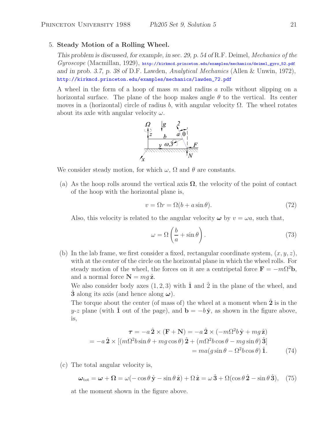#### 5. **Steady Motion of a Rolling Wheel.**

*This problem is discussed, for example, in sec. 29, p. 54 of* R.F. Deimel, *Mechanics of the Gyroscope* (Macmillan, 1929), http://kirkmcd.princeton.edu/examples/mechanics/deimel\_gyro\_52.pdf *and in prob. 3.7, p. 38 of* D.F. Lawden, *Analytical Mechanics* (Allen & Unwin, 1972), http://kirkmcd.princeton.edu/examples/mechanics/lawden\_72.pdf

A wheel in the form of a hoop of mass m and radius a rolls without slipping on a horizontal surface. The plane of the hoop makes angle  $\theta$  to the vertical. Its center moves in a (horizontal) circle of radius b, with angular velocity  $\Omega$ . The wheel rotates about its axle with angular velocity  $\omega$ .



We consider steady motion, for which  $\omega$ ,  $\Omega$  and  $\theta$  are constants.

(a) As the hoop rolls around the vertical axis  $\Omega$ , the velocity of the point of contact of the hoop with the horizontal plane is,

$$
v = \Omega r = \Omega (b + a \sin \theta). \tag{72}
$$

Also, this velocity is related to the angular velocity  $\omega$  by  $v = \omega a$ , such that,

$$
\omega = \Omega \left( \frac{b}{a} + \sin \theta \right). \tag{73}
$$

(b) In the lab frame, we first consider a fixed, rectangular coordinate system,  $(x, y, z)$ , with at the center of the circle on the horizontal plane in which the wheel rolls. For steady motion of the wheel, the forces on it are a centripetal force  $\mathbf{F} = -m\Omega^2 \mathbf{b}$ , and a normal force  $N = mq \hat{z}$ .

We also consider body axes  $(1, 2, 3)$  with  $\hat{\mathbf{1}}$  and  $\hat{\mathbf{2}}$  in the plane of the wheel, and **3** along its axis (and hence along  $\omega$ ).

The torque about the center (of mass of) the wheel at a moment when **2** is in the y-z plane (with **1** out of the page), and  $\mathbf{b} = -b\hat{\mathbf{y}}$ , as shown in the figure above, is,

$$
\boldsymbol{\tau} = -a \,\hat{\mathbf{2}} \times (\mathbf{F} + \mathbf{N}) = -a \,\hat{\mathbf{2}} \times (-m\Omega^2 b \,\hat{\mathbf{y}} + mg \,\hat{\mathbf{z}})
$$

$$
= -a \,\hat{\mathbf{2}} \times [(m\Omega^2 b \sin \theta + mg \cos \theta) \,\hat{\mathbf{2}} + (m\Omega^2 b \cos \theta - mg \sin \theta) \,\hat{\mathbf{3}}]
$$

$$
= ma(g \sin \theta - \Omega^2 b \cos \theta) \,\hat{\mathbf{1}}.\tag{74}
$$

(c) The total angular velocity is,

$$
\boldsymbol{\omega}_{\text{tot}} = \boldsymbol{\omega} + \boldsymbol{\Omega} = \omega(-\cos\theta\,\hat{\mathbf{y}} - \sin\theta\,\hat{\mathbf{z}}) + \Omega\,\hat{\mathbf{z}} = \omega\,\hat{\mathbf{3}} + \Omega(\cos\theta\,\hat{\mathbf{2}} - \sin\theta\,\hat{\mathbf{3}}), \quad (75)
$$

at the moment shown in the figure above.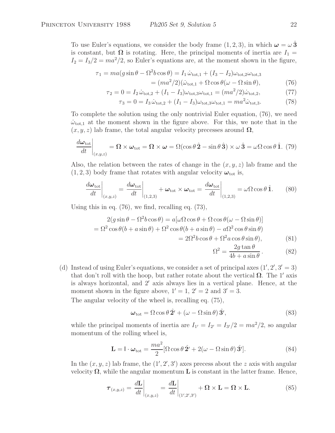To use Euler's equations, we consider the body frame  $(1, 2, 3)$ , in which  $\omega = \omega \hat{3}$ is constant, but  $\Omega$  is rotating. Here, the principal moments of inertia are  $I_1 =$  $I_2 = I_3/2 = ma^2/2$ , so Euler's equations are, at the moment shown in the figure,

$$
\tau_1 = ma(g\sin\theta - \Omega^2 b\cos\theta) = I_1 \dot{\omega}_{\text{tot},1} + (I_3 - I_2)\omega_{\text{tot},2}\omega_{\text{tot},3}
$$

$$
= (ma^2/2)(\dot{\omega}_{\text{tot},1} + \Omega\cos\theta(\omega - \Omega\sin\theta), \tag{76}
$$

$$
\tau_2 = 0 = I_2 \dot{\omega}_{\text{tot},2} + (I_1 - I_3)\omega_{\text{tot},3}\omega_{\text{tot},1} = (ma^2/2)\dot{\omega}_{\text{tot},2},\tag{77}
$$

$$
\tau_3 = 0 = I_3 \dot{\omega}_{\text{tot},2} + (I_1 - I_3)\omega_{\text{tot},3}\omega_{\text{tot},1} = ma^2 \dot{\omega}_{\text{tot},3}.
$$
 (78)

To complete the solution using the only nontrivial Euler equation, (76), we need  $\dot{\omega}_{\text{tot},1}$  at the moment shown in the figure above. For this, we note that in the  $(x, y, z)$  lab frame, the total angular velocity precesses around  $\Omega$ ,

$$
\frac{d\boldsymbol{\omega}_{\text{tot}}}{dt}\bigg|_{(x,y,z)} = \boldsymbol{\Omega} \times \boldsymbol{\omega}_{\text{tot}} = \boldsymbol{\Omega} \times \boldsymbol{\omega} = \Omega(\cos\theta \,\hat{\mathbf{2}} - \sin\theta \,\hat{\mathbf{3}}) \times \boldsymbol{\omega} \,\hat{\mathbf{3}} = \boldsymbol{\omega}\Omega\cos\theta \,\hat{\mathbf{1}}. \tag{79}
$$

Also, the relation between the rates of change in the  $(x, y, z)$  lab frame and the  $(1, 2, 3)$  body frame that rotates with angular velocity  $\boldsymbol{\omega}_{\text{tot}}$  is,

$$
\frac{d\boldsymbol{\omega}_{\text{tot}}}{dt}\bigg|_{(x,y,z)} = \frac{d\boldsymbol{\omega}_{\text{tot}}}{dt}\bigg|_{(1,2,3)} + \boldsymbol{\omega}_{\text{tot}} \times \boldsymbol{\omega}_{\text{tot}} = \frac{d\boldsymbol{\omega}_{\text{tot}}}{dt}\bigg|_{(1,2,3)} = \omega\Omega\cos\theta\,\hat{1}.\tag{80}
$$

Using this in eq. (76), we find, recalling eq. (73),

$$
2(g\sin\theta - \Omega^2 b\cos\theta) = a[\omega\Omega\cos\theta + \Omega\cos\theta(\omega - \Omega\sin\theta)]
$$
  
=  $\Omega^2 \cos\theta(b + a\sin\theta) + \Omega^2 \cos\theta(b + a\sin\theta) - a\Omega^2 \cos\theta \sin\theta)$   
=  $2\Omega^2 b\cos\theta + \Omega^2 a\cos\theta \sin\theta$ , (81)

$$
\Omega^2 = \frac{2g \tan \theta}{4b + a \sin \theta}.
$$
 (82)

(d) Instead of using Euler's equations, we consider a set of principal axes  $(1', 2', 3' = 3)$ that don't roll with the hoop, but rather rotate about the vertical  $\Omega$ . The 1' axis is always horizontal, and 2' axis always lies in a vertical plane. Hence, at the moment shown in the figure above,  $1' = 1$ ,  $2' = 2$  and  $3' = 3$ .

The angular velocity of the wheel is, recalling eq. (75),

$$
\boldsymbol{\omega}_{\text{tot}} = \Omega \cos \theta \, \hat{\mathbf{2}}' + \left(\omega - \Omega \sin \theta\right) \hat{\mathbf{3}}',\tag{83}
$$

while the principal moments of inertia are  $I_{1'} = I_{2'} = I_{3'}/2 = ma^2/2$ , so angular momentum of the rolling wheel is,

$$
\mathbf{L} = \mathbf{I} \cdot \boldsymbol{\omega}_{\text{tot}} = \frac{ma^2}{2} [\Omega \cos \theta \, \hat{\mathbf{2}}' + 2(\omega - \Omega \sin \theta) \, \hat{\mathbf{3}}'].
$$
 (84)

In the  $(x, y, z)$  lab frame, the  $(1', 2', 3')$  axes precess about the z axis with angular velocity  $\Omega$ , while the angular momentum **L** is constant in the latter frame. Hence,

$$
\boldsymbol{\tau}_{(x,y,z)} = \left. \frac{d\mathbf{L}}{dt} \right|_{(x,y,z)} = \left. \frac{d\mathbf{L}}{dt} \right|_{(1',2',3')} + \boldsymbol{\Omega} \times \mathbf{L} = \boldsymbol{\Omega} \times \mathbf{L}.
$$
 (85)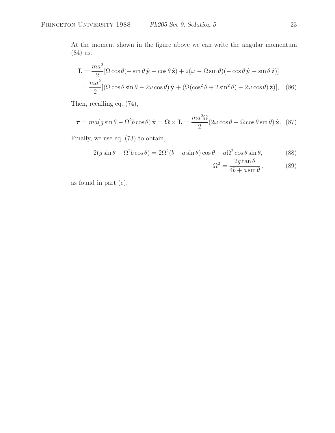At the moment shown in the figure above we can write the angular momentum (84) as,

$$
\mathbf{L} = \frac{ma^2}{2} [\Omega \cos \theta (-\sin \theta \,\hat{\mathbf{y}} + \cos \theta \,\hat{\mathbf{z}}) + 2(\omega - \Omega \sin \theta)(-\cos \theta \,\hat{\mathbf{y}} - \sin \theta \,\hat{\mathbf{z}})]
$$
  
= 
$$
\frac{ma^2}{2} [(\Omega \cos \theta \sin \theta - 2\omega \cos \theta) \,\hat{\mathbf{y}} + (\Omega(\cos^2 \theta + 2\sin^2 \theta) - 2\omega \cos \theta) \,\hat{\mathbf{z}})], \quad (86)
$$

Then, recalling eq. (74),

$$
\boldsymbol{\tau} = ma(g\sin\theta - \Omega^2 b\cos\theta)\,\hat{\mathbf{x}} = \boldsymbol{\Omega} \times \mathbf{L} = \frac{ma^2\Omega}{2}(2\omega\cos\theta - \Omega\cos\theta\sin\theta)\,\hat{\mathbf{x}}.\tag{87}
$$

Finally, we use eq. (73) to obtain,

$$
2(g\sin\theta - \Omega^2 b\cos\theta) = 2\Omega^2(b + a\sin\theta)\cos\theta - a\Omega^2\cos\theta\sin\theta, \tag{88}
$$

$$
\Omega^2 = \frac{2g \tan \theta}{4b + a \sin \theta},\qquad(89)
$$

as found in part (c).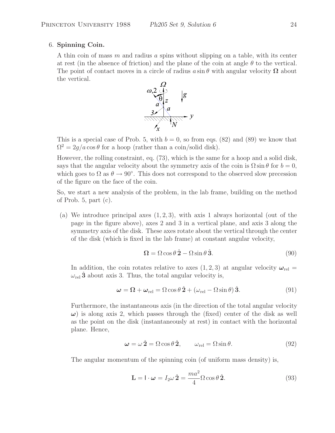### 6. **Spinning Coin.**

A thin coin of mass m and radius a spins without slipping on a table, with its center at rest (in the absence of friction) and the plane of the coin at angle  $\theta$  to the vertical. The point of contact moves in a circle of radius  $a \sin \theta$  with angular velocity  $\Omega$  about the vertical.



This is a special case of Prob. 5, with  $b = 0$ , so from eqs. (82) and (89) we know that  $\Omega^2 = 2g/a \cos \theta$  for a hoop (rather than a coin/solid disk).

However, the rolling constraint, eq. (73), which is the same for a hoop and a solid disk, says that the angular velocity about the symmetry axis of the coin is  $\Omega \sin \theta$  for  $b = 0$ , which goes to  $\Omega$  as  $\theta \to 90^{\circ}$ . This does not correspond to the observed slow precession of the figure on the face of the coin.

So, we start a new analysis of the problem, in the lab frame, building on the method of Prob. 5, part (c).

(a) We introduce principal axes  $(1, 2, 3)$ , with axis 1 always horizontal (out of the page in the figure above), axes 2 and 3 in a vertical plane, and axis 3 along the symmetry axis of the disk. These axes rotate about the vertical through the center of the disk (which is fixed in the lab frame) at constant angular velocity,

$$
\Omega = \Omega \cos \theta \,\hat{\mathbf{2}} - \Omega \sin \theta \,\hat{\mathbf{3}}.\tag{90}
$$

In addition, the coin rotates relative to axes  $(1, 2, 3)$  at angular velocity  $\omega_{rel}$  $\omega_{\rm rel}$  **3** about axis 3. Thus, the total angular velocity is,

$$
\omega = \Omega + \omega_{\text{rel}} = \Omega \cos \theta \,\hat{2} + (\omega_{\text{rel}} - \Omega \sin \theta) \,\hat{3}.\tag{91}
$$

Furthermore, the instantaneous axis (in the direction of the total angular velocity  $\omega$ ) is along axis 2, which passes through the (fixed) center of the disk as well as the point on the disk (instantaneously at rest) in contact with the horizontal plane. Hence,

$$
\omega = \omega \,\hat{\mathbf{2}} = \Omega \cos \theta \,\hat{\mathbf{2}}, \qquad \omega_{\text{rel}} = \Omega \sin \theta. \tag{92}
$$

The angular momentum of the spinning coin (of uniform mass density) is,

$$
\mathbf{L} = \mathbf{I} \cdot \boldsymbol{\omega} = I_2 \omega \,\hat{\mathbf{2}} = \frac{ma^2}{4} \Omega \cos \theta \,\hat{\mathbf{2}}.\tag{93}
$$